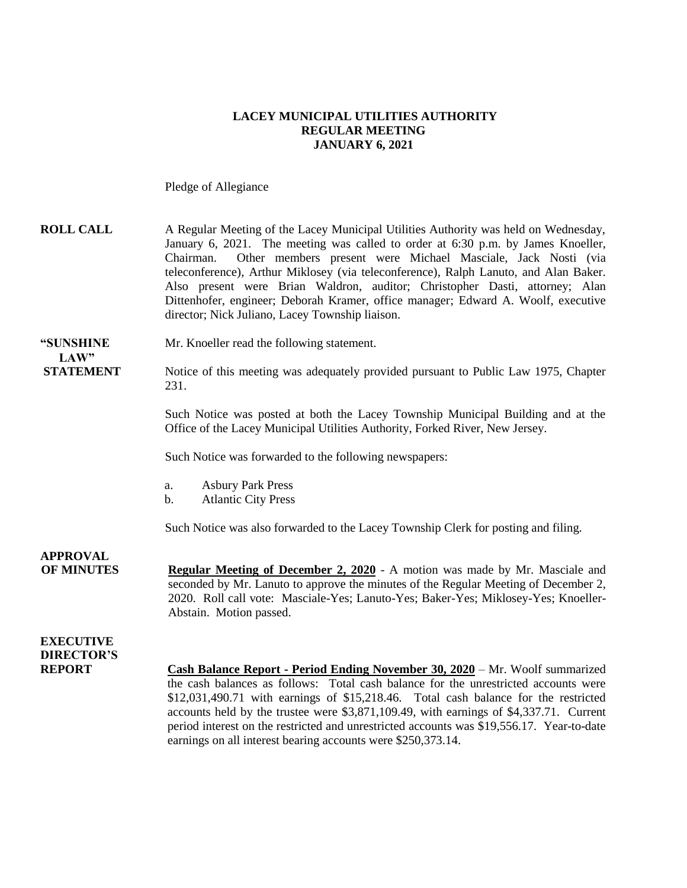### **LACEY MUNICIPAL UTILITIES AUTHORITY REGULAR MEETING JANUARY 6, 2021**

Pledge of Allegiance

| <b>ROLL CALL</b>                      | A Regular Meeting of the Lacey Municipal Utilities Authority was held on Wednesday,<br>January 6, 2021. The meeting was called to order at 6:30 p.m. by James Knoeller,<br>Other members present were Michael Masciale, Jack Nosti (via<br>Chairman.<br>teleconference), Arthur Miklosey (via teleconference), Ralph Lanuto, and Alan Baker.<br>Also present were Brian Waldron, auditor; Christopher Dasti, attorney; Alan<br>Dittenhofer, engineer; Deborah Kramer, office manager; Edward A. Woolf, executive<br>director; Nick Juliano, Lacey Township liaison. |
|---------------------------------------|---------------------------------------------------------------------------------------------------------------------------------------------------------------------------------------------------------------------------------------------------------------------------------------------------------------------------------------------------------------------------------------------------------------------------------------------------------------------------------------------------------------------------------------------------------------------|
| "SUNSHINE<br>LAW"                     | Mr. Knoeller read the following statement.                                                                                                                                                                                                                                                                                                                                                                                                                                                                                                                          |
| <b>STATEMENT</b>                      | Notice of this meeting was adequately provided pursuant to Public Law 1975, Chapter<br>231.                                                                                                                                                                                                                                                                                                                                                                                                                                                                         |
|                                       | Such Notice was posted at both the Lacey Township Municipal Building and at the<br>Office of the Lacey Municipal Utilities Authority, Forked River, New Jersey.                                                                                                                                                                                                                                                                                                                                                                                                     |
|                                       | Such Notice was forwarded to the following newspapers:                                                                                                                                                                                                                                                                                                                                                                                                                                                                                                              |
|                                       | <b>Asbury Park Press</b><br>a.<br><b>Atlantic City Press</b><br>b.                                                                                                                                                                                                                                                                                                                                                                                                                                                                                                  |
|                                       | Such Notice was also forwarded to the Lacey Township Clerk for posting and filing.                                                                                                                                                                                                                                                                                                                                                                                                                                                                                  |
| <b>APPROVAL</b><br><b>OF MINUTES</b>  | <b>Regular Meeting of December 2, 2020</b> - A motion was made by Mr. Masciale and<br>seconded by Mr. Lanuto to approve the minutes of the Regular Meeting of December 2,<br>2020. Roll call vote: Masciale-Yes; Lanuto-Yes; Baker-Yes; Miklosey-Yes; Knoeller-<br>Abstain. Motion passed.                                                                                                                                                                                                                                                                          |
| <b>EXECUTIVE</b><br><b>DIRECTOR'S</b> |                                                                                                                                                                                                                                                                                                                                                                                                                                                                                                                                                                     |
| <b>REPORT</b>                         | Cash Balance Report - Period Ending November 30, 2020 – Mr. Woolf summarized<br>the cash balances as follows: Total cash balance for the unrestricted accounts were<br>\$12,031,490.71 with earnings of \$15,218.46. Total cash balance for the restricted<br>accounts held by the trustee were \$3,871,109.49, with earnings of \$4,337.71. Current<br>period interest on the restricted and unrestricted accounts was \$19,556.17. Year-to-date                                                                                                                   |

earnings on all interest bearing accounts were \$250,373.14.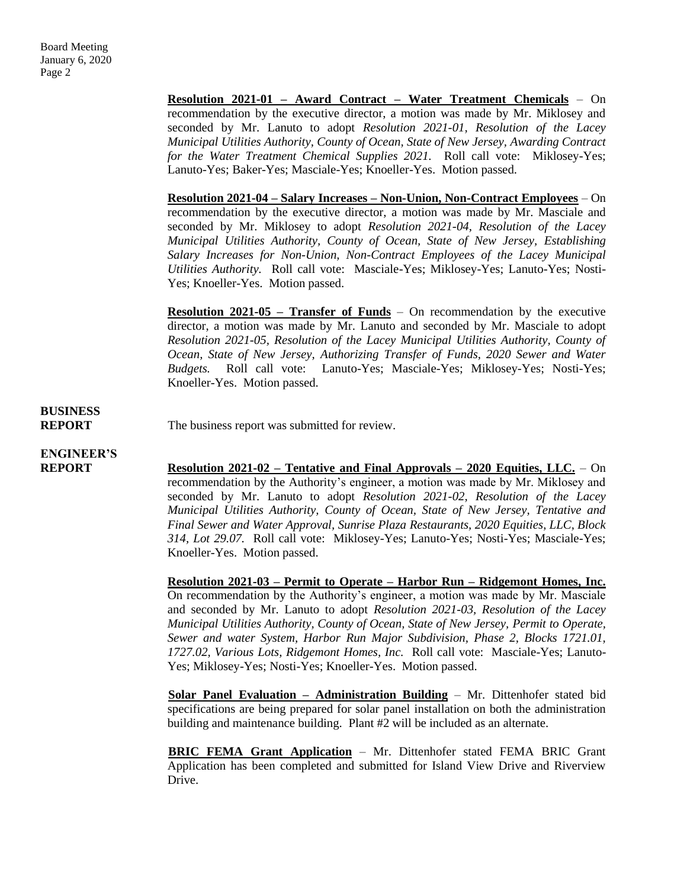**Resolution 2021-01 – Award Contract – Water Treatment Chemicals** – On recommendation by the executive director, a motion was made by Mr. Miklosey and seconded by Mr. Lanuto to adopt *Resolution 2021-01, Resolution of the Lacey Municipal Utilities Authority, County of Ocean, State of New Jersey, Awarding Contract for the Water Treatment Chemical Supplies 2021.* Roll call vote: Miklosey-Yes; Lanuto-Yes; Baker-Yes; Masciale-Yes; Knoeller-Yes. Motion passed.

**Resolution 2021-04 – Salary Increases – Non-Union, Non-Contract Employees** – On recommendation by the executive director, a motion was made by Mr. Masciale and seconded by Mr. Miklosey to adopt *Resolution 2021-04, Resolution of the Lacey Municipal Utilities Authority, County of Ocean, State of New Jersey, Establishing Salary Increases for Non-Union, Non-Contract Employees of the Lacey Municipal Utilities Authority.* Roll call vote: Masciale-Yes; Miklosey-Yes; Lanuto-Yes; Nosti-Yes; Knoeller-Yes. Motion passed.

**Resolution 2021-05 – Transfer of Funds** – On recommendation by the executive director, a motion was made by Mr. Lanuto and seconded by Mr. Masciale to adopt *Resolution 2021-05, Resolution of the Lacey Municipal Utilities Authority, County of Ocean, State of New Jersey, Authorizing Transfer of Funds, 2020 Sewer and Water Budgets.* Roll call vote: Lanuto-Yes; Masciale-Yes; Miklosey-Yes; Nosti-Yes; Knoeller-Yes. Motion passed.

# **BUSINESS**

**REPORT** The business report was submitted for review.

# **ENGINEER'S**

**REPORT Resolution 2021-02 – Tentative and Final Approvals – 2020 Equities, LLC.** – On recommendation by the Authority's engineer, a motion was made by Mr. Miklosey and seconded by Mr. Lanuto to adopt *Resolution 2021-02, Resolution of the Lacey Municipal Utilities Authority, County of Ocean, State of New Jersey, Tentative and Final Sewer and Water Approval, Sunrise Plaza Restaurants, 2020 Equities, LLC, Block 314, Lot 29.07.* Roll call vote: Miklosey-Yes; Lanuto-Yes; Nosti-Yes; Masciale-Yes; Knoeller-Yes. Motion passed.

> **Resolution 2021-03 – Permit to Operate – Harbor Run – Ridgemont Homes, Inc.**  On recommendation by the Authority's engineer, a motion was made by Mr. Masciale and seconded by Mr. Lanuto to adopt *Resolution 2021-03, Resolution of the Lacey Municipal Utilities Authority, County of Ocean, State of New Jersey, Permit to Operate, Sewer and water System, Harbor Run Major Subdivision, Phase 2, Blocks 1721.01, 1727.02, Various Lots, Ridgemont Homes, Inc.* Roll call vote: Masciale-Yes; Lanuto-Yes; Miklosey-Yes; Nosti-Yes; Knoeller-Yes. Motion passed.

> **Solar Panel Evaluation – Administration Building** – Mr. Dittenhofer stated bid specifications are being prepared for solar panel installation on both the administration building and maintenance building. Plant #2 will be included as an alternate.

> **BRIC FEMA Grant Application** – Mr. Dittenhofer stated FEMA BRIC Grant Application has been completed and submitted for Island View Drive and Riverview Drive.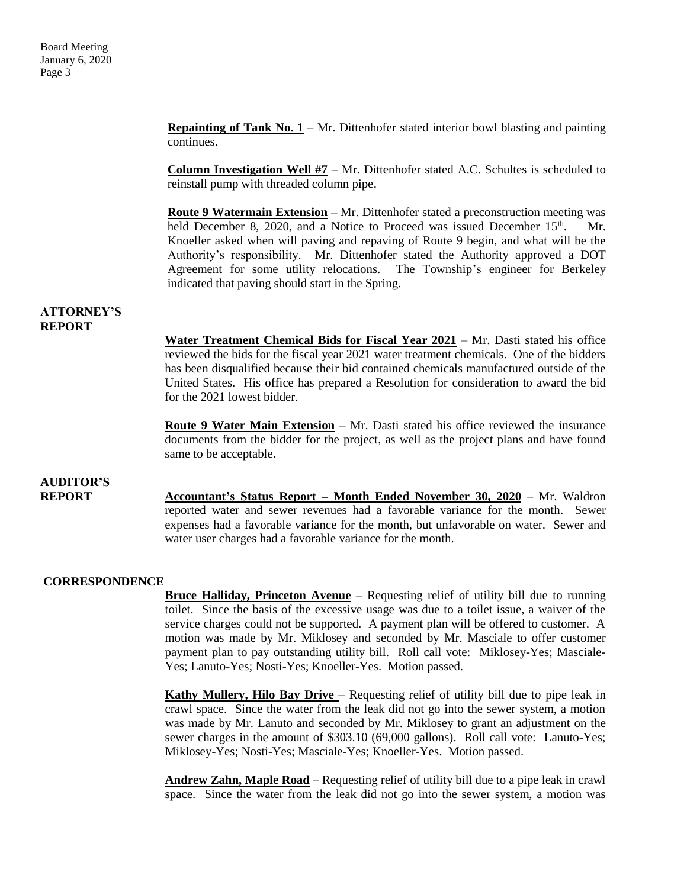**Repainting of Tank No.**  $1 - Mr$ **. Dittenhofer stated interior bowl blasting and painting** continues.

**Column Investigation Well #7** – Mr. Dittenhofer stated A.C. Schultes is scheduled to reinstall pump with threaded column pipe.

**Route 9 Watermain Extension** – Mr. Dittenhofer stated a preconstruction meeting was held December 8, 2020, and a Notice to Proceed was issued December 15<sup>th</sup>. Mr. Knoeller asked when will paving and repaving of Route 9 begin, and what will be the Authority's responsibility. Mr. Dittenhofer stated the Authority approved a DOT Agreement for some utility relocations. The Township's engineer for Berkeley indicated that paving should start in the Spring.

#### **ATTORNEY'S REPORT**

**Water Treatment Chemical Bids for Fiscal Year 2021** – Mr. Dasti stated his office reviewed the bids for the fiscal year 2021 water treatment chemicals. One of the bidders has been disqualified because their bid contained chemicals manufactured outside of the United States. His office has prepared a Resolution for consideration to award the bid for the 2021 lowest bidder.

**Route 9 Water Main Extension** – Mr. Dasti stated his office reviewed the insurance documents from the bidder for the project, as well as the project plans and have found same to be acceptable.

## **AUDITOR'S**

**REPORT Accountant's Status Report – Month Ended November 30, 2020** – Mr. Waldron reported water and sewer revenues had a favorable variance for the month. Sewer expenses had a favorable variance for the month, but unfavorable on water. Sewer and water user charges had a favorable variance for the month.

### **CORRESPONDENCE**

**Bruce Halliday, Princeton Avenue** – Requesting relief of utility bill due to running toilet. Since the basis of the excessive usage was due to a toilet issue, a waiver of the service charges could not be supported. A payment plan will be offered to customer. A motion was made by Mr. Miklosey and seconded by Mr. Masciale to offer customer payment plan to pay outstanding utility bill. Roll call vote: Miklosey-Yes; Masciale-Yes; Lanuto-Yes; Nosti-Yes; Knoeller-Yes. Motion passed.

**Kathy Mullery, Hilo Bay Drive** – Requesting relief of utility bill due to pipe leak in crawl space. Since the water from the leak did not go into the sewer system, a motion was made by Mr. Lanuto and seconded by Mr. Miklosey to grant an adjustment on the sewer charges in the amount of \$303.10 (69,000 gallons). Roll call vote: Lanuto-Yes; Miklosey-Yes; Nosti-Yes; Masciale-Yes; Knoeller-Yes. Motion passed.

**Andrew Zahn, Maple Road** – Requesting relief of utility bill due to a pipe leak in crawl space. Since the water from the leak did not go into the sewer system, a motion was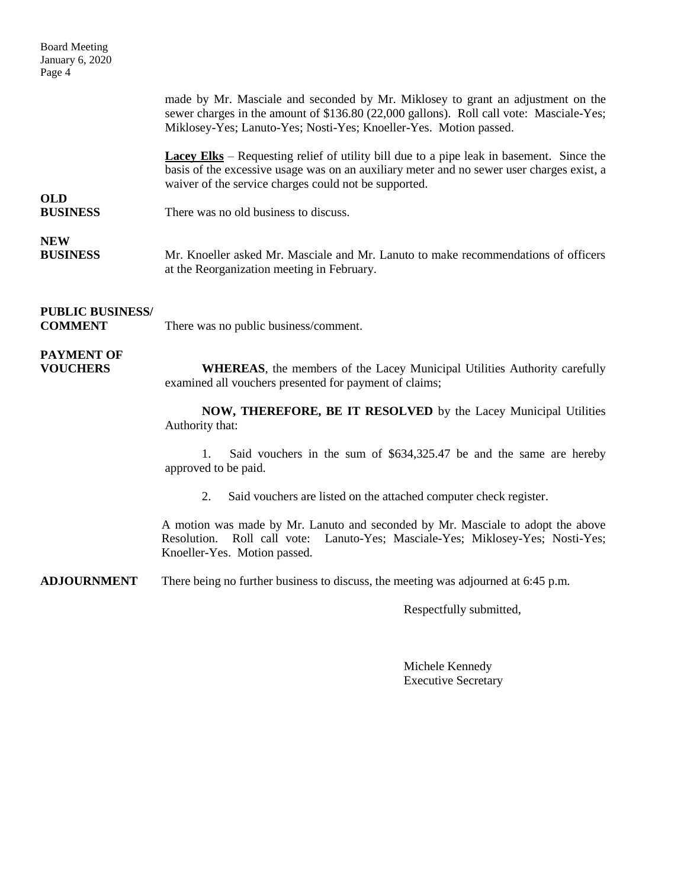| <b>Board Meeting</b><br>January 6, 2020<br>Page 4 |                                                                                                                                                                                                                                                       |
|---------------------------------------------------|-------------------------------------------------------------------------------------------------------------------------------------------------------------------------------------------------------------------------------------------------------|
|                                                   | made by Mr. Masciale and seconded by Mr. Miklosey to grant an adjustment on the<br>sewer charges in the amount of \$136.80 (22,000 gallons). Roll call vote: Masciale-Yes;<br>Miklosey-Yes; Lanuto-Yes; Nosti-Yes; Knoeller-Yes. Motion passed.       |
| <b>OLD</b>                                        | <b>Lacey Elks</b> – Requesting relief of utility bill due to a pipe leak in basement. Since the<br>basis of the excessive usage was on an auxiliary meter and no sewer user charges exist, a<br>waiver of the service charges could not be supported. |
| <b>BUSINESS</b>                                   | There was no old business to discuss.                                                                                                                                                                                                                 |
| <b>NEW</b><br><b>BUSINESS</b>                     | Mr. Knoeller asked Mr. Masciale and Mr. Lanuto to make recommendations of officers<br>at the Reorganization meeting in February.                                                                                                                      |
| <b>PUBLIC BUSINESS/</b><br><b>COMMENT</b>         | There was no public business/comment.                                                                                                                                                                                                                 |
| <b>PAYMENT OF</b><br><b>VOUCHERS</b>              | <b>WHEREAS</b> , the members of the Lacey Municipal Utilities Authority carefully<br>examined all vouchers presented for payment of claims;                                                                                                           |
|                                                   | NOW, THEREFORE, BE IT RESOLVED by the Lacey Municipal Utilities<br>Authority that:                                                                                                                                                                    |
|                                                   | Said vouchers in the sum of \$634,325.47 be and the same are hereby<br>1.<br>approved to be paid.                                                                                                                                                     |
|                                                   | 2.<br>Said vouchers are listed on the attached computer check register.                                                                                                                                                                               |
|                                                   | A motion was made by Mr. Lanuto and seconded by Mr. Masciale to adopt the above<br>Roll call vote: Lanuto-Yes; Masciale-Yes; Miklosey-Yes; Nosti-Yes;<br>Resolution.<br>Knoeller-Yes. Motion passed.                                                  |
| <b>ADJOURNMENT</b>                                | There being no further business to discuss, the meeting was adjourned at 6:45 p.m.                                                                                                                                                                    |

Respectfully submitted,

Michele Kennedy Executive Secretary